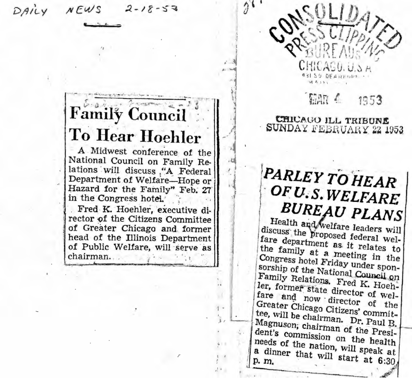$NEWS$  $2 - 18 - 53$ DAILY

# **Family Council** To Hear Hoehler

A Midwest conference of the National Council on Family Relations will discuss "A Federal Department of Welfare-Hope or Hazard for the Family" Feb. 27 in the Congress hotel.

Fred K. Hoehler, executive director of the Citizens Committee of Greater Chicago and former head of the Illinois Department of Public Welfare, will serve as chairman...

GAR 4 1953

CHICAGO ILL TRIBUNE SUNDAY FEBRUARY 22 1953

 $\hat{\theta}$ .

# **PARLEY TO HEAR** OF U.S. WELFARE **BUREAU PLANS**

Health and welfare leaders will discuss the proposed federal welfare department as it relates to the family at a meeting in the Congress hotel Friday under sponsorship of the National Council on Family Relations. Fred K. Hoehler, former state director of welfare and now director of the Greater Chicago Citizens' committee, will be chairman. Dr. Paul B. Magnuson; chairman of the President's commission on the health needs of the nation, will speak at a dinner that will start at 6:30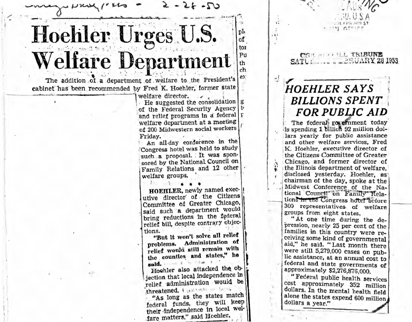

welfare director.  $\overline{\phantom{a}}$ 

· He suggested the consolidation of the Federal Security Agency t. and relief programs in a federal welfare department at a meeting of 200 Midwestern social workers Friday.

An all-day conference in the Congress hotel was held to study such a proposal. It was sponsored by the National Council on Family Relations and 12 other welfare groups.

HOEHLER, newly named executive director of the Citizens Committee of Greater Chicago, said such a department would bring reductions in the federal relief bill, despite contrary objections.

"But it won't solve all relief problems. Administration of relief would still remain with the countles and states," he 

Hoehler also attacked the objection that local independence in relief administration would be threatened. I wanted the factor

"As long as the states match federal funds, they will keep their independence in local welfare matters," said Hoehler.

# **HOEHLER SAYS BILLIONS SPENT FOR PUBLIC AID**

JEAPS NH ST

**IN ATTIOT** 

CHILIPPE COLL TRIBUNE SATU: ...... BRUARY 28 1953

 $\mathfrak{c}^{\star}_{\bullet}$ 

 $43$ 

÷

清

The federal government today is spending 1 billion 92 million dollars yearly for public assistance and other welfare services. Fred K. Hoehler, executive director of the Citizens Committee of Greater Chicago, and former director of the Illinois department of welfare. disclosed yesterday. Hoehler, as chairman of the day, spoke at the Midwest Conference of the National Council" on Family Relations in the Congress hotel before 300 representatives of welfare groups from eight states.

"At one time during the depression, nearly 25 per cent of the families in this country were receiving some kind of governmental aid," he said. "Last month there were still 5,279,000 cases on public assistance, at an annual cost to federal and state governments of approximately \$2,276,876,000.

"Federal public health services cost approximately 352 million dollars. In the mental health field alone the states expend 600 million dollars a year."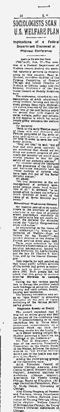

 $\overline{a}$ Federa **Implications** í .<br>Id. at b) I ut

u.<br>| nf<br>| n . ö mu 0 J. ż epte<br>cit mili

ı. di<br>ing also<br>the Mr.<br>al by Mr.<br>with the wide<br>the wide<br>sunger i<br>upa alates, wy<br>it "one of 1<br>it "one of 1<br>it! welfare<br>it! manne<br>pla gilbly<br>is." went<br>|c|||f||<br>|which<br>|white,<br>|white,<br>|Ware .<br>81 .<br>F

Black<br>Gione<br>Icial na<br>∎lia<br>mlia **CALLES Thieffer**<br> **COM** defining<br>
EXEMPLE THE RESPONDENCE TO SAVE OUT  $-14.$ 

mith<br>convinced<br>*Laur* present<br>*Laur reason*<br>*Mar reason*<br>*Marvices*<br>Burvices<br>**C** mithon<br>**C** mithon mi<br>. Allo<br>Calle<br>Allo<br>Lof<br>L<sup>of</sup> ō۲ rale<br>d for<br>f the<br>sonce ..<br>Jon 'n

inty system.<br>The direct integration of the state of the state of the state of the direct integration of the direct of the direct of the direct of the direct of the direct of the direct of the direct of the direct of the di

ational Weginessen<br>15 okaler point of the face of<br>1 in the structure<br>15 okaler structure<br>15 okaler structure<br>25 okaler structure<br>15 okaler structure<br>15 okaler structure<br>2000 include the structure<br>2000 of the structure<br>2000  $\frac{1}{10}$ In com<br>
the tont<br>
puriment<br>
lannd<br>
speaker<br>
Federal<br>
These פיים<br>השור הפי<br>לחוז השור<br>לחו" ae<br>dent's<br>dent's<br>live in<br>Brow<br>the land ra<br>:al ï ıi ovitina)<br>Tato Dr.<br>Id by the in. ្តព្<br>• អ  $\frac{3}{5}$ 

public welf<br>on had grow<br>to lerge<br>Bolh group<br>this group<br>algystian

reliant to the reliance of the problem in the problem<br>as selected in the problem in the problem<br>example of the selection of the problem<br>exception.<br>exception is a selected of the problem<br>the various particle<br>the various par ្សា<br>កម្ម out to date<br>ageh heads<br>cushing and<br>cushing and The one-t<br>linexed<br>intailves if

psi t |t<br>| Ihnt<br>| Yas<br>| Ihnt<br>| A ۰t<br>پر پا run<br>Ta<br>Tati ï נות<br>פק ition<br>havi ¢ ה<br>נ

Ù

Ealth<br>of Spel<br>of Spel<br>ch in Spel<br>ch Rose 킛 ű

 $\frac{1}{2}$ <br> $\frac{1}{2}$ <br> $\frac{1}{2}$ <br> $\frac{1}{2}$ <br> $\frac{1}{2}$ <br> $\frac{1}{2}$ <br> $\frac{1}{2}$ <br> $\frac{1}{2}$ <br> $\frac{1}{2}$ <br> $\frac{1}{2}$ <br> $\frac{1}{2}$ <br> $\frac{1}{2}$ <br> $\frac{1}{2}$ <br> $\frac{1}{2}$ <br> $\frac{1}{2}$ Chicago, Santon Congress of Paris, Andreanity<br>Also Elinois Congress of Paris<br>And Teachers, Binois Peperine<br>In Public Weitker, Ekitioni Association of Boundary Officials (Or<br>Letter Congress Congress Control Control Control ĩ ng<br>of|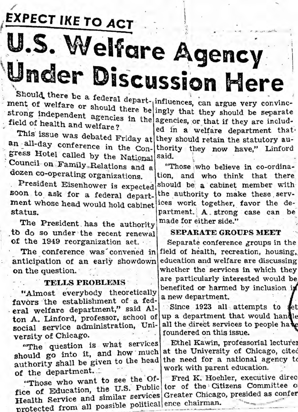**EXPECT IKE TO ACT** U.S. Welfare Agency Under Discussion Here

Should there be a federal depart-influences, can argue very convincment of welfare or should there be ingly that they should be separate strong independent agencies in the agencies, or that if they are includfield of health and welfare?

This issue was debated Friday at an all-day conference in the Congress Hotel called by the National Council on Family Relations and a dozen co-operating organizations.

President Eisenhower is expected soon to ask for a federal department whose head would hold cabinet status.

The President has the authority to do so under the recent renewal of the 1949 reorganization act.

The conference was convened in anticipation of an early showdown on the question.

### **TELLS PROBLEMS**

"Almost everybody theoretically favors the establishment of a federal welfare department," said Alton A. Linford, professor, school of social service administration, University of Chicago.

"The question is what services should go into it, and how much authority shall be given to the head of the department.

"Those who want to see the Office of Education, the U.S. Public tor of the Citizens Committee of Health Service and similar services Greater Chicago, presided as confer protected from all possible political ence chairman.

ed in a welfare department that. they should retain the statutory authority they now have," Linford said.

"Those who believe in co-ordination, and who think that there should be a cabinet member with the authority to make these services work together, favor the department. A strong case can be made for either side."

## **SEPARATE GROUPS MEET**

Separate conference groups in the field of health, recreation, housing, education and welfare are discussing whether the services in which they are particularly interested would be benefited or harmed by inclusion in a new department.

Since 1923 all attempts to set up a department that would handle all the direct services to people have foundered on this issue.

Ethel Kawin, professorial lecturer at the University of Chicago, cited the need for a national agency to work with parent education.

Fred K. Hoehler, executive direc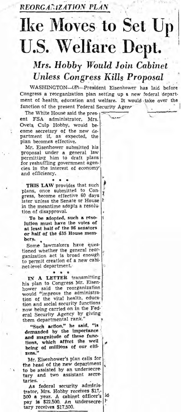REORGANIZATION PLAN

# **Ike Moves to Set Up U.S. Welfare Dept.**

## Mrs. Hobby Would Join Cabinet **Unless Congress Kills Proposal**

WASHINGTON-(P)-President Eisenhower has laid before Congress a reorganization plan setting up a new federal department of health, education and welfare. It would take over the function of the present Federal Security Agene

The White House said the pres-FSA administrator, ent Mrs. Oveta Culp Hobby, would become secretary of the new department if, as expected, the plan becomes effective.

Mr. Eisenhower submitted his proposal under a general law<br>permitting him to draft plans for reshuffling government agencies in the interest of economy and efficiency.

THIS LAW provides that such plans, once submitted to Congress, become effective 60 days I ŀ later unless the Senate or House in the meantime adopts a resolution of disapproval.

To be adopted, such a resolution must have the votes of at least half of the 96 senators or half of the 435 House members.

Some lawmakers have questioned whether the general reor-<br>ganization act is broad enough to permit creation of a new cabinet-level department.

 $\pmb{\ast}$ 

IN A LETTER transmitting his plan to Congress Mr. Eisenhower said the reorganization<br>would "improve the administration of the vital health, education and social security functions now being carried on in the Federal Security Agency by giving<br>them departmental rank."

"Such action," he said, "is demanded by the importance and magnitude of these functions, which affect the well being of millions of our citizens."

Mr. Eisenhower's plan calls for the head of the new department to be assisted by an undersecretary and two assistant secretaries.

As federal security administrator, Mrs. Hobby receives \$17,-500 a year. A cabinet officer's id pay is \$22,500. An undersecretary receives \$17,500.